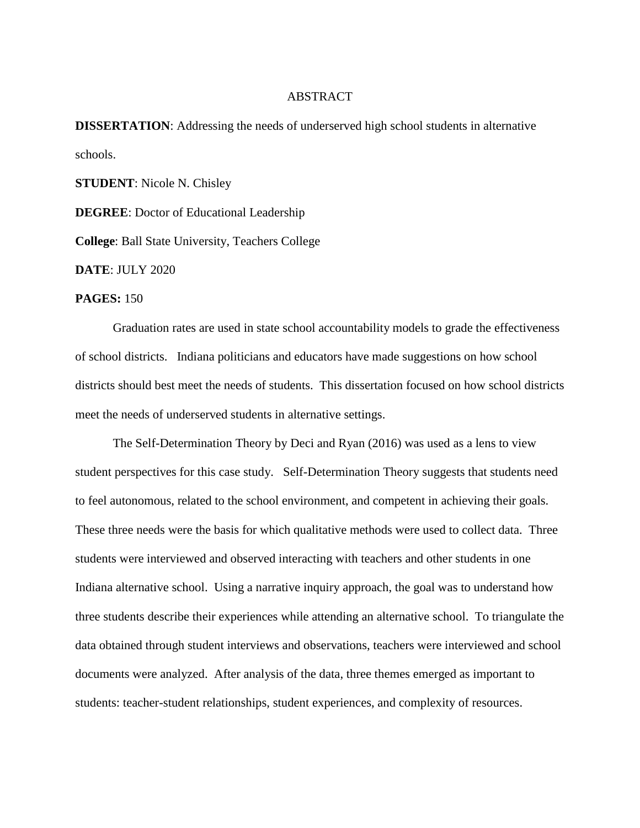## ABSTRACT

**DISSERTATION:** Addressing the needs of underserved high school students in alternative schools.

**STUDENT**: Nicole N. Chisley

**DEGREE**: Doctor of Educational Leadership

**College**: Ball State University, Teachers College

**DATE**: JULY 2020

**PAGES:** 150

Graduation rates are used in state school accountability models to grade the effectiveness of school districts. Indiana politicians and educators have made suggestions on how school districts should best meet the needs of students. This dissertation focused on how school districts meet the needs of underserved students in alternative settings.

The Self-Determination Theory by Deci and Ryan (2016) was used as a lens to view student perspectives for this case study. Self-Determination Theory suggests that students need to feel autonomous, related to the school environment, and competent in achieving their goals. These three needs were the basis for which qualitative methods were used to collect data. Three students were interviewed and observed interacting with teachers and other students in one Indiana alternative school. Using a narrative inquiry approach, the goal was to understand how three students describe their experiences while attending an alternative school. To triangulate the data obtained through student interviews and observations, teachers were interviewed and school documents were analyzed. After analysis of the data, three themes emerged as important to students: teacher-student relationships, student experiences, and complexity of resources.